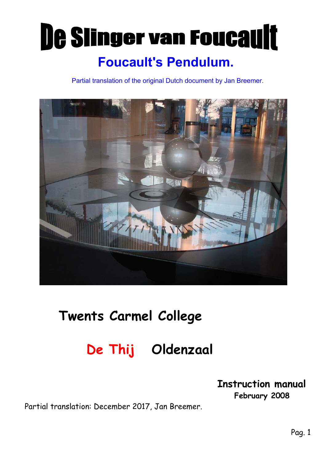# De Slinger van Foucault Foucault's Pendulum.

Partial translation of the original Dutch document by Jan Breemer.



## Twents Carmel College

## De Thij Oldenzaal

#### Instruction manual February 2008

Partial translation: December 2017, Jan Breemer.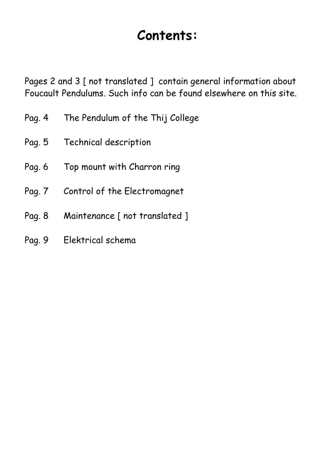## Contents:

Pages 2 and 3 [ not translated ] contain general information about Foucault Pendulums. Such info can be found elsewhere on this site.

- Pag. 4 The Pendulum of the Thij College
- Pag. 5 Technical description
- Pag. 6 Top mount with Charron ring
- Pag. 7 Control of the Electromagnet
- Pag. 8 Maintenance [ not translated ]
- Pag. 9 Elektrical schema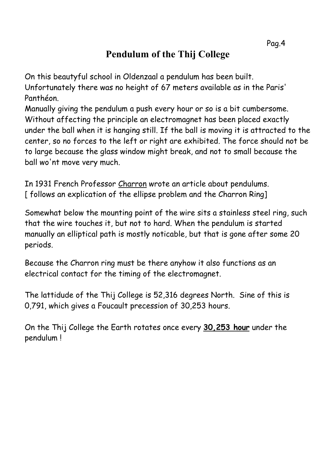### Pendulum of the Thij College

On this beautyful school in Oldenzaal a pendulum has been built. Unfortunately there was no height of 67 meters available as in the Paris' Panthéon.

Manually giving the pendulum a push every hour or so is a bit cumbersome. Without affecting the principle an electromagnet has been placed exactly under the ball when it is hanging still. If the ball is moving it is attracted to the center, so no forces to the left or right are exhibited. The force should not be to large because the glass window might break, and not to small because the ball wo'nt move very much.

In 1931 French Professor Charron wrote an article about pendulums. [ follows an explication of the ellipse problem and the Charron Ring]

Somewhat below the mounting point of the wire sits a stainless steel ring, such that the wire touches it, but not to hard. When the pendulum is started manually an elliptical path is mostly noticable, but that is gone after some 20 periods.

Because the Charron ring must be there anyhow it also functions as an electrical contact for the timing of the electromagnet.

The lattidude of the Thij College is 52,316 degrees North. Sine of this is 0,791, which gives a Foucault precession of 30,253 hours.

On the Thij College the Earth rotates once every 30,253 hour under the pendulum !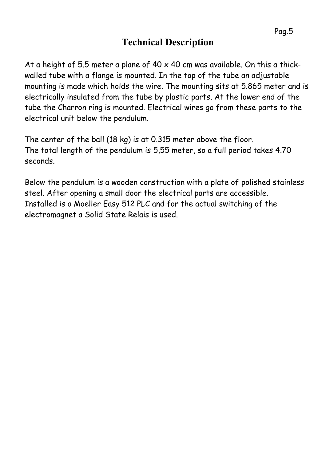### Technical Description

At a height of 5.5 meter a plane of  $40 \times 40$  cm was available. On this a thickwalled tube with a flange is mounted. In the top of the tube an adjustable mounting is made which holds the wire. The mounting sits at 5.865 meter and is electrically insulated from the tube by plastic parts. At the lower end of the tube the Charron ring is mounted. Electrical wires go from these parts to the electrical unit below the pendulum.

The center of the ball (18 kg) is at 0.315 meter above the floor. The total length of the pendulum is 5,55 meter, so a full period takes 4.70 seconds.

Below the pendulum is a wooden construction with a plate of polished stainless steel. After opening a small door the electrical parts are accessible. Installed is a Moeller Easy 512 PLC and for the actual switching of the electromagnet a Solid State Relais is used.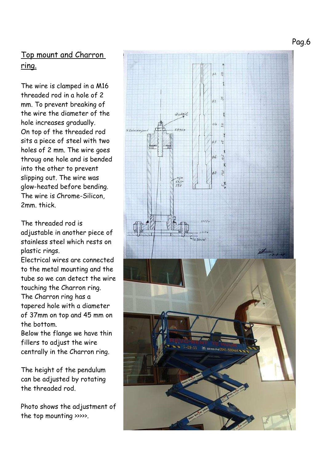Pag.6

#### Top mount and Charron ring.

The wire is clamped in a M16 threaded rod in a hole of 2 mm. To prevent breaking of the wire the diameter of the hole increases gradually. On top of the threaded rod sits a piece of steel with two holes of 2 mm. The wire goes throug one hole and is bended into the other to prevent slipping out. The wire was glow-heated before bending. The wire is Chrome-Silicon, 2mm. thick.

The threaded rod is adjustable in another piece of stainless steel which rests on plastic rings.

Electrical wires are connected to the metal mounting and the tube so we can detect the wire touching the Charron ring. The Charron ring has a tapered hole with a diameter of 37mm on top and 45 mm on the bottom.

Below the flange we have thin fillers to adjust the wire centrally in the Charron ring.

The height of the pendulum can be adjusted by rotating the threaded rod.

Photo shows the adjustment of the top mounting >>>>>.

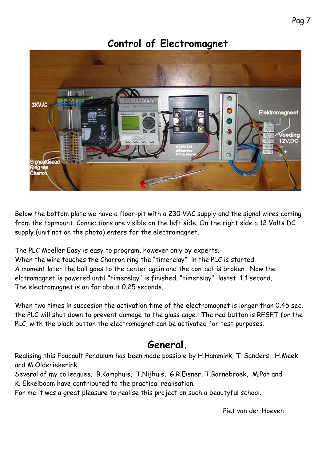#### Control of Electromagnet



Below the bottom plate we have a floor-pit with a 230 VAC supply and the signal wires coming from the topmount. Connections are visible on the left side. On the right side a 12 Volts DC supply (unit not on the photo) enters for the electromagnet.

The PLC Moeller Easy is easy to program, however only by experts.

When the wire touches the Charron ring the "timerelay" in the PLC is started. A moment later the ball goes to the center again and the contact is broken. Now the elctromagnet is powered until "timerelay" is finished. "timerelay" lastst 1,1 second. The electromagnet is on for about 0.25 seconds.

When two times in succesion the activation time of the electromagnet is longer than 0.45 sec. the PLC will shut down to prevent damage to the glass cage. The red button is RESET for the PLC, with the black button the electromagnet can be activated for test purposes.

#### General.

Realising this Foucault Pendulum has been made possible by H.Hammink, T. Sanders, H.Meek and M.Olderiekerink.

Several of my colleagues, B.Kamphuis, T.Nijhuis, G.R.Eisner, T.Bornebroek, M.Pot and K. Ekkelboom have contributed to the practical realisation.

For me it was a great pleasure to realise this project on such a beautyful school.